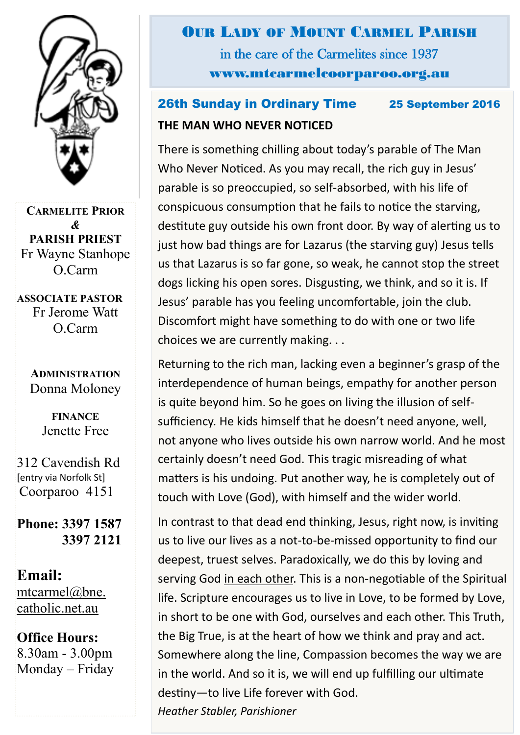

**CARMELITE PRIOR** *&* **PARISH PRIEST** Fr Wayne Stanhope O.Carm

**ASSOCIATE PASTOR** Fr Jerome Watt O.Carm

> **ADMINISTRATION** Donna Moloney

> > **FINANCE**  Jenette Free

312 Cavendish Rd [entry via Norfolk St] Coorparoo 4151

**Phone: 3397 1587 3397 2121**

**Email:** [mtcarmel@bne.](mailto:mtcarmel@bne.catholic.net.au)  [catholic.net.au](mailto:mtcarmel@bne.catholic.net.au)

**Office Hours:**  8.30am - 3.00pm Monday – Friday OUR LADY OF MOUNT CARMEL PARISH in the care of the Carmelites since 1937 www.mtcarmelcoorparoo.org.au

### 26th Sunday in Ordinary Time 25 September 2016 **THE MAN WHO NEVER NOTICED**

There is something chilling about today's parable of The Man Who Never Noticed. As you may recall, the rich guy in Jesus' parable is so preoccupied, so self-absorbed, with his life of conspicuous consumption that he fails to notice the starving, destitute guy outside his own front door. By way of alerting us to just how bad things are for Lazarus (the starving guy) Jesus tells us that Lazarus is so far gone, so weak, he cannot stop the street dogs licking his open sores. Disgusting, we think, and so it is. If Jesus' parable has you feeling uncomfortable, join the club. Discomfort might have something to do with one or two life choices we are currently making. . .

Returning to the rich man, lacking even a beginner's grasp of the interdependence of human beings, empathy for another person is quite beyond him. So he goes on living the illusion of selfsufficiency. He kids himself that he doesn't need anyone, well, not anyone who lives outside his own narrow world. And he most certainly doesn't need God. This tragic misreading of what matters is his undoing. Put another way, he is completely out of touch with Love (God), with himself and the wider world.

In contrast to that dead end thinking, Jesus, right now, is inviting us to live our lives as a not-to-be-missed opportunity to find our deepest, truest selves. Paradoxically, we do this by loving and serving God in each other. This is a non-negotiable of the Spiritual life. Scripture encourages us to live in Love, to be formed by Love, in short to be one with God, ourselves and each other. This Truth, the Big True, is at the heart of how we think and pray and act. Somewhere along the line, Compassion becomes the way we are in the world. And so it is, we will end up fulfilling our ultimate destiny—to live Life forever with God.

*Heather Stabler, Parishioner*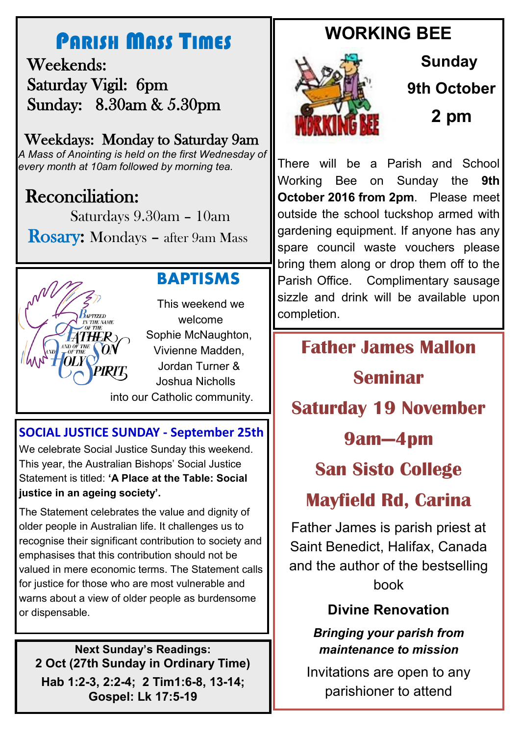# PARISH MASS TIMES

 Weekends: Saturday Vigil: 6pm Sunday: 8.30am & 5.30pm

## Weekdays: Monday to Saturday 9am

*A Mass of Anointing is held on the first Wednesday of every month at 10am followed by morning tea.*

# Reconciliation:

Saturdays 9.30am – 10am

Rosary: Mondays – after 9am Mass



### **BAPTISMS**

This weekend we welcome Sophie McNaughton, Vivienne Madden, Jordan Turner & Joshua Nicholls into our Catholic community.

### **SOCIAL JUSTICE SUNDAY - September 25th**

We celebrate Social Justice Sunday this weekend. This year, the Australian Bishops' Social Justice Statement is titled: **'A Place at the Table: Social justice in an ageing society'.** 

The Statement celebrates the value and dignity of older people in Australian life. It challenges us to recognise their significant contribution to society and emphasises that this contribution should not be valued in mere economic terms. The Statement calls for justice for those who are most vulnerable and warns about a view of older people as burdensome or dispensable.

**Next Sunday's Readings: 2 Oct (27th Sunday in Ordinary Time) Hab 1:2-3, 2:2-4; 2 Tim1:6-8, 13-14; Gospel: Lk 17:5-19**

# **WORKING BEE**



**Sunday 9th October 2 pm**

There will be a Parish and School Working Bee on Sunday the **9th October 2016 from 2pm**. Please meet outside the school tuckshop armed with gardening equipment. If anyone has any spare council waste vouchers please bring them along or drop them off to the Parish Office. Complimentary sausage sizzle and drink will be available upon completion.

## **Father James Mallon**

# **Seminar**

**Saturday 19 November**

## **9am—4pm**

# **San Sisto College**

# **Mayfield Rd, Carina**

Father James is parish priest at Saint Benedict, Halifax, Canada and the author of the bestselling book

### **Divine Renovation**

#### *Bringing your parish from maintenance to mission*

Invitations are open to any parishioner to attend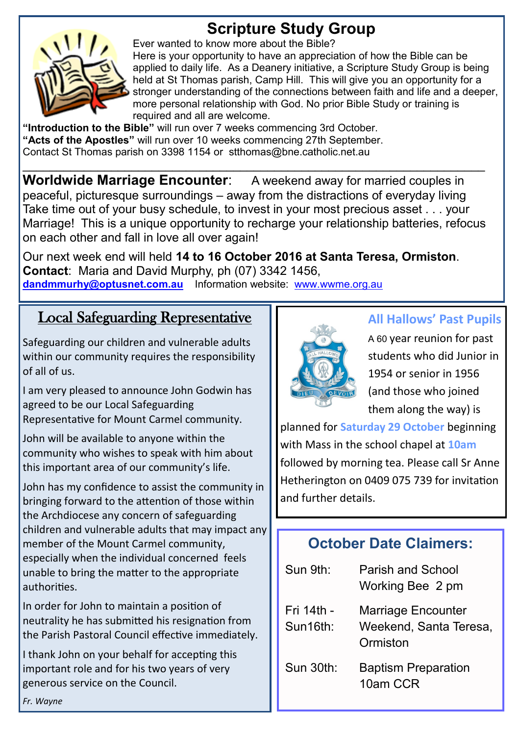# **Scripture Study Group**



Ever wanted to know more about the Bible?

Here is your opportunity to have an appreciation of how the Bible can be applied to daily life. As a Deanery initiative, a Scripture Study Group is being held at St Thomas parish, Camp Hill. This will give you an opportunity for a stronger understanding of the connections between faith and life and a deeper, more personal relationship with God. No prior Bible Study or training is required and all are welcome.

**"Introduction to the Bible"** will run over 7 weeks commencing 3rd October. **"Acts of the Apostles"** will run over 10 weeks commencing 27th September. Contact St Thomas parish on 3398 1154 or stthomas@bne.catholic.net.au

**Worldwide Marriage Encounter:** A weekend away for married couples in peaceful, picturesque surroundings – away from the distractions of everyday living Take time out of your busy schedule, to invest in your most precious asset . . . your Marriage! This is a unique opportunity to recharge your relationship batteries, refocus on each other and fall in love all over again!

 $\mathcal{L}_\text{max}$  , and the contract of the contract of the contract of the contract of the contract of the contract of the contract of the contract of the contract of the contract of the contract of the contract of the contr

Our next week end will held **14 to 16 October 2016 at Santa Teresa, Ormiston**. **Contact**: Maria and David Murphy, ph (07) 3342 1456, **[dandmmurhy@optusnet.com.au](mailto:dandmmurphy@optusnet.com.au)** Information website: [www.wwme.org.au](http://www.wwme.org.au)

### Local Safeguarding Representative

Safeguarding our children and vulnerable adults within our community requires the responsibility of all of us.

I am very pleased to announce John Godwin has agreed to be our Local Safeguarding Representative for Mount Carmel community.

John will be available to anyone within the community who wishes to speak with him about this important area of our community's life.

John has my confidence to assist the community in bringing forward to the attention of those within the Archdiocese any concern of safeguarding children and vulnerable adults that may impact any member of the Mount Carmel community, especially when the individual concerned feels unable to bring the matter to the appropriate authorities.

In order for John to maintain a position of neutrality he has submitted his resignation from the Parish Pastoral Council effective immediately.

I thank John on your behalf for accepting this important role and for his two years of very generous service on the Council.



#### **All Hallows' Past Pupils**

A 60 year reunion for past students who did Junior in 1954 or senior in 1956 (and those who joined them along the way) is

planned for **Saturday 29 October** beginning with Mass in the school chapel at **10am**  followed by morning tea. Please call Sr Anne Hetherington on 0409 075 739 for invitation and further details.

### **October Date Claimers:**

| Sun 9th:               | Parish and School<br>Working Bee 2 pm                           |
|------------------------|-----------------------------------------------------------------|
| Fri 14th -<br>Sun16th: | <b>Marriage Encounter</b><br>Weekend, Santa Teresa,<br>Ormiston |
| Sun 30th:              | <b>Baptism Preparation</b><br>10am CCR                          |

*Fr. Wayne*